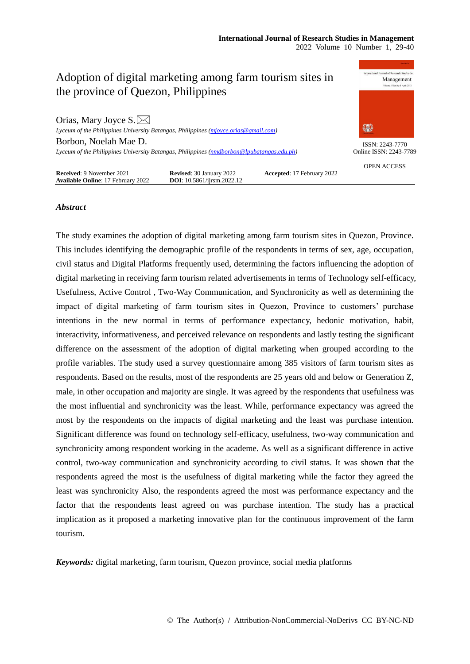

# *Abstract*

The study examines the adoption of digital marketing among farm tourism sites in Quezon, Province. This includes identifying the demographic profile of the respondents in terms of sex, age, occupation, civil status and Digital Platforms frequently used, determining the factors influencing the adoption of digital marketing in receiving farm tourism related advertisements in terms of Technology self-efficacy, Usefulness, Active Control , Two-Way Communication, and Synchronicity as well as determining the impact of digital marketing of farm tourism sites in Quezon, Province to customers' purchase intentions in the new normal in terms of performance expectancy, hedonic motivation, habit, interactivity, informativeness, and perceived relevance on respondents and lastly testing the significant difference on the assessment of the adoption of digital marketing when grouped according to the profile variables. The study used a survey questionnaire among 385 visitors of farm tourism sites as respondents. Based on the results, most of the respondents are 25 years old and below or Generation Z, male, in other occupation and majority are single. It was agreed by the respondents that usefulness was the most influential and synchronicity was the least. While, performance expectancy was agreed the most by the respondents on the impacts of digital marketing and the least was purchase intention. Significant difference was found on technology self-efficacy, usefulness, two-way communication and synchronicity among respondent working in the academe. As well as a significant difference in active control, two-way communication and synchronicity according to civil status. It was shown that the respondents agreed the most is the usefulness of digital marketing while the factor they agreed the least was synchronicity Also, the respondents agreed the most was performance expectancy and the factor that the respondents least agreed on was purchase intention. The study has a practical implication as it proposed a marketing innovative plan for the continuous improvement of the farm tourism.

*Keywords:* digital marketing, farm tourism, Quezon province, social media platforms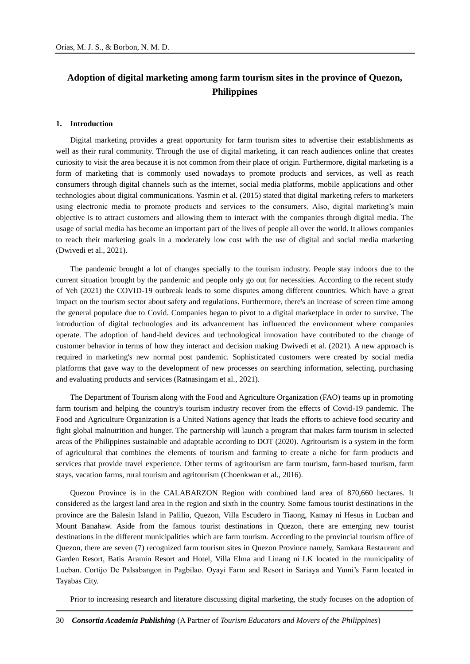# **Adoption of digital marketing among farm tourism sites in the province of Quezon, Philippines**

#### **1. Introduction**

Digital marketing provides a great opportunity for farm tourism sites to advertise their establishments as well as their rural community. Through the use of digital marketing, it can reach audiences online that creates curiosity to visit the area because it is not common from their place of origin. Furthermore, digital marketing is a form of marketing that is commonly used nowadays to promote products and services, as well as reach consumers through digital channels such as the internet, social media platforms, mobile applications and other technologies about digital communications. Yasmin et al. (2015) stated that digital marketing refers to marketers using electronic media to promote products and services to the consumers. Also, digital marketing's main objective is to attract customers and allowing them to interact with the companies through digital media. The usage of social media has become an important part of the lives of people all over the world. It allows companies to reach their marketing goals in a moderately low cost with the use of digital and social media marketing (Dwivedi et al., 2021).

The pandemic brought a lot of changes specially to the tourism industry. People stay indoors due to the current situation brought by the pandemic and people only go out for necessities. According to the recent study of Yeh (2021) the COVID-19 outbreak leads to some disputes among different countries. Which have a great impact on the tourism sector about safety and regulations. Furthermore, there's an increase of screen time among the general populace due to Covid. Companies began to pivot to a digital marketplace in order to survive. The introduction of digital technologies and its advancement has influenced the environment where companies operate. The adoption of hand-held devices and technological innovation have contributed to the change of customer behavior in terms of how they interact and decision making Dwivedi et al. (2021). A new approach is required in marketing's new normal post pandemic. Sophisticated customers were created by social media platforms that gave way to the development of new processes on searching information, selecting, purchasing and evaluating products and services (Ratnasingam et al., 2021).

The Department of Tourism along with the Food and Agriculture Organization (FAO) teams up in promoting farm tourism and helping the country's tourism industry recover from the effects of Covid-19 pandemic. The Food and Agriculture Organization is a United Nations agency that leads the efforts to achieve food security and fight global malnutrition and hunger. The partnership will launch a program that makes farm tourism in selected areas of the Philippines sustainable and adaptable according to DOT (2020). Agritourism is a system in the form of agricultural that combines the elements of tourism and farming to create a niche for farm products and services that provide travel experience. Other terms of agritourism are farm tourism, farm-based tourism, farm stays, vacation farms, rural tourism and agritourism (Choenkwan et al., 2016).

Quezon Province is in the CALABARZON Region with combined land area of 870,660 hectares. It considered as the largest land area in the region and sixth in the country. Some famous tourist destinations in the province are the Balesin Island in Palilio, Quezon, Villa Escudero in Tiaong, Kamay ni Hesus in Lucban and Mount Banahaw. Aside from the famous tourist destinations in Quezon, there are emerging new tourist destinations in the different municipalities which are farm tourism. According to the provincial tourism office of Quezon, there are seven (7) recognized farm tourism sites in Quezon Province namely, Samkara Restaurant and Garden Resort, Batis Aramin Resort and Hotel, Villa Elma and Linang ni LK located in the municipality of Lucban. Cortijo De Palsabangon in Pagbilao. Oyayi Farm and Resort in Sariaya and Yumi's Farm located in Tayabas City.

Prior to increasing research and literature discussing digital marketing, the study focuses on the adoption of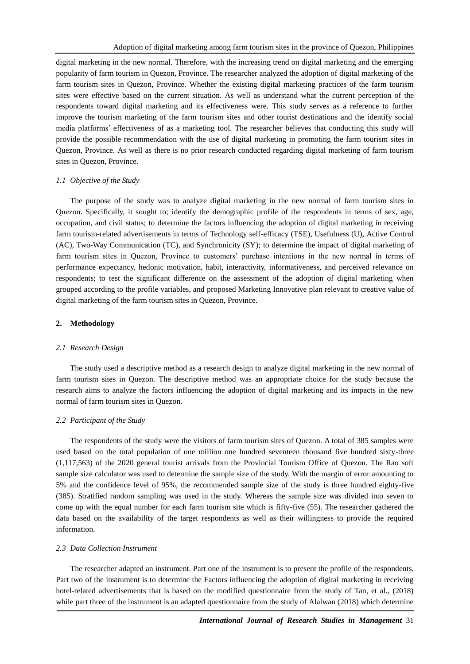digital marketing in the new normal. Therefore, with the increasing trend on digital marketing and the emerging popularity of farm tourism in Quezon, Province. The researcher analyzed the adoption of digital marketing of the farm tourism sites in Quezon, Province. Whether the existing digital marketing practices of the farm tourism sites were effective based on the current situation. As well as understand what the current perception of the respondents toward digital marketing and its effectiveness were. This study serves as a reference to further improve the tourism marketing of the farm tourism sites and other tourist destinations and the identify social media platforms' effectiveness of as a marketing tool. The researcher believes that conducting this study will provide the possible recommendation with the use of digital marketing in promoting the farm tourism sites in Quezon, Province. As well as there is no prior research conducted regarding digital marketing of farm tourism sites in Quezon, Province.

#### *1.1 Objective of the Study*

The purpose of the study was to analyze digital marketing in the new normal of farm tourism sites in Quezon. Specifically, it sought to; identify the demographic profile of the respondents in terms of sex, age, occupation, and civil status; to determine the factors influencing the adoption of digital marketing in receiving farm tourism-related advertisements in terms of Technology self-efficacy (TSE), Usefulness (U), Active Control (AC), Two-Way Communication (TC), and Synchronicity (SY); to determine the impact of digital marketing of farm tourism sites in Quezon, Province to customers' purchase intentions in the new normal in terms of performance expectancy, hedonic motivation, habit, interactivity, informativeness, and perceived relevance on respondents; to test the significant difference on the assessment of the adoption of digital marketing when grouped according to the profile variables, and proposed Marketing Innovative plan relevant to creative value of digital marketing of the farm tourism sites in Quezon, Province.

## **2. Methodology**

#### *2.1 Research Design*

The study used a descriptive method as a research design to analyze digital marketing in the new normal of farm tourism sites in Quezon. The descriptive method was an appropriate choice for the study because the research aims to analyze the factors influencing the adoption of digital marketing and its impacts in the new normal of farm tourism sites in Quezon.

## *2.2 Participant of the Study*

The respondents of the study were the visitors of farm tourism sites of Quezon. A total of 385 samples were used based on the total population of one million one hundred seventeen thousand five hundred sixty-three (1,117,563) of the 2020 general tourist arrivals from the Provincial Tourism Office of Quezon. The Rao soft sample size calculator was used to determine the sample size of the study. With the margin of error amounting to 5% and the confidence level of 95%, the recommended sample size of the study is three hundred eighty-five (385). Stratified random sampling was used in the study. Whereas the sample size was divided into seven to come up with the equal number for each farm tourism site which is fifty-five (55). The researcher gathered the data based on the availability of the target respondents as well as their willingness to provide the required information.

#### *2.3 Data Collection Instrument*

The researcher adapted an instrument. Part one of the instrument is to present the profile of the respondents. Part two of the instrument is to determine the Factors influencing the adoption of digital marketing in receiving hotel-related advertisements that is based on the modified questionnaire from the study of Tan, et al., (2018) while part three of the instrument is an adapted questionnaire from the study of Alalwan (2018) which determine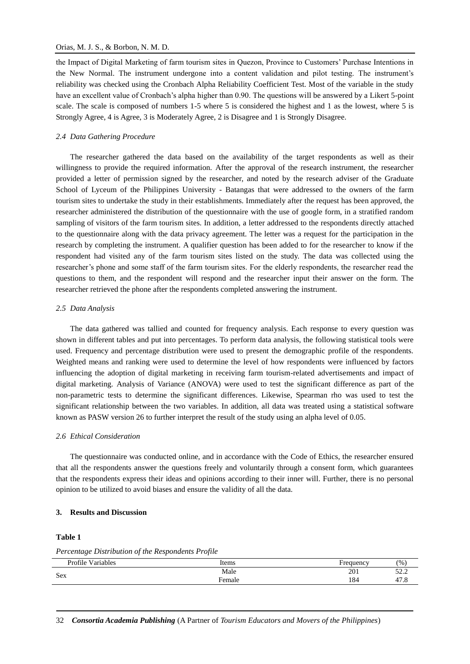## Orias, M. J. S., & Borbon, N. M. D.

the Impact of Digital Marketing of farm tourism sites in Quezon, Province to Customers' Purchase Intentions in the New Normal. The instrument undergone into a content validation and pilot testing. The instrument's reliability was checked using the Cronbach Alpha Reliability Coefficient Test. Most of the variable in the study have an excellent value of Cronbach's alpha higher than 0.90. The questions will be answered by a Likert 5-point scale. The scale is composed of numbers 1-5 where 5 is considered the highest and 1 as the lowest, where 5 is Strongly Agree, 4 is Agree, 3 is Moderately Agree, 2 is Disagree and 1 is Strongly Disagree.

# *2.4 Data Gathering Procedure*

The researcher gathered the data based on the availability of the target respondents as well as their willingness to provide the required information. After the approval of the research instrument, the researcher provided a letter of permission signed by the researcher, and noted by the research adviser of the Graduate School of Lyceum of the Philippines University - Batangas that were addressed to the owners of the farm tourism sites to undertake the study in their establishments. Immediately after the request has been approved, the researcher administered the distribution of the questionnaire with the use of google form, in a stratified random sampling of visitors of the farm tourism sites. In addition, a letter addressed to the respondents directly attached to the questionnaire along with the data privacy agreement. The letter was a request for the participation in the research by completing the instrument. A qualifier question has been added to for the researcher to know if the respondent had visited any of the farm tourism sites listed on the study. The data was collected using the researcher's phone and some staff of the farm tourism sites. For the elderly respondents, the researcher read the questions to them, and the respondent will respond and the researcher input their answer on the form. The researcher retrieved the phone after the respondents completed answering the instrument.

## *2.5 Data Analysis*

The data gathered was tallied and counted for frequency analysis. Each response to every question was shown in different tables and put into percentages. To perform data analysis, the following statistical tools were used. Frequency and percentage distribution were used to present the demographic profile of the respondents. Weighted means and ranking were used to determine the level of how respondents were influenced by factors influencing the adoption of digital marketing in receiving farm tourism-related advertisements and impact of digital marketing. Analysis of Variance (ANOVA) were used to test the significant difference as part of the non-parametric tests to determine the significant differences. Likewise, Spearman rho was used to test the significant relationship between the two variables. In addition, all data was treated using a statistical software known as PASW version 26 to further interpret the result of the study using an alpha level of 0.05.

# *2.6 Ethical Consideration*

The questionnaire was conducted online, and in accordance with the Code of Ethics, the researcher ensured that all the respondents answer the questions freely and voluntarily through a consent form, which guarantees that the respondents express their ideas and opinions according to their inner will. Further, there is no personal opinion to be utilized to avoid biases and ensure the validity of all the data.

# **3. Results and Discussion**

# **Table 1**

*Percentage Distribution of the Respondents Profile* 

| Profile Variables | Items  | Frequency | (96)                           |
|-------------------|--------|-----------|--------------------------------|
| Sex               | Male   | 201       | $\epsilon$<br>ے . _            |
|                   | Female | 184       | $\overline{a}$<br>⊶.<br>+ / .O |
|                   |        |           |                                |

32 *Consortia Academia Publishing* (A Partner of *Tourism Educators and Movers of the Philippines*)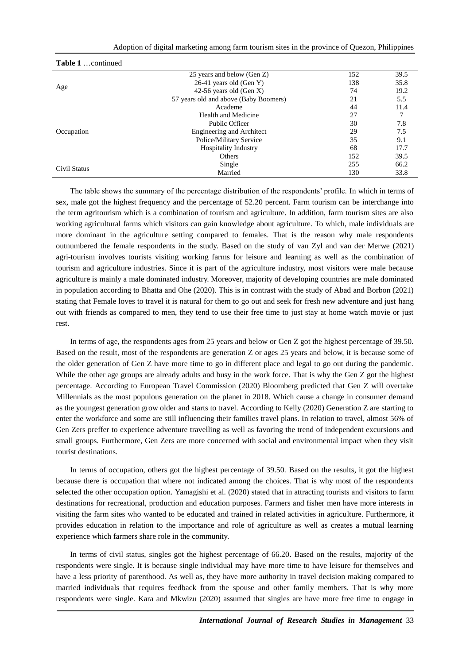|  |  | Adoption of digital marketing among farm tourism sites in the province of Quezon, Philippines |  |  |
|--|--|-----------------------------------------------------------------------------------------------|--|--|
|  |  |                                                                                               |  |  |

| Table 1 continued |                                       |     |      |
|-------------------|---------------------------------------|-----|------|
|                   | 25 years and below (Gen Z)            | 152 | 39.5 |
|                   | $26-41$ years old (Gen Y)             | 138 | 35.8 |
| Age               | 42-56 years old (Gen X)               | 74  | 19.2 |
|                   | 57 years old and above (Baby Boomers) | 21  | 5.5  |
|                   | Academe                               | 44  | 11.4 |
|                   | Health and Medicine                   | 27  |      |
|                   | Public Officer                        | 30  | 7.8  |
| Occupation        | <b>Engineering and Architect</b>      | 29  | 7.5  |
|                   | Police/Military Service               | 35  | 9.1  |
|                   | Hospitality Industry                  | 68  | 17.7 |
|                   | Others                                | 152 | 39.5 |
|                   | Single                                | 255 | 66.2 |
| Civil Status      | Married                               | 130 | 33.8 |

The table shows the summary of the percentage distribution of the respondents' profile. In which in terms of sex, male got the highest frequency and the percentage of 52.20 percent. Farm tourism can be interchange into the term agritourism which is a combination of tourism and agriculture. In addition, farm tourism sites are also working agricultural farms which visitors can gain knowledge about agriculture. To which, male individuals are more dominant in the agriculture setting compared to females. That is the reason why male respondents outnumbered the female respondents in the study. Based on the study of van Zyl and van der Merwe (2021) agri-tourism involves tourists visiting working farms for leisure and learning as well as the combination of tourism and agriculture industries. Since it is part of the agriculture industry, most visitors were male because agriculture is mainly a male dominated industry. Moreover, majority of developing countries are male dominated in population according to Bhatta and Ohe (2020). This is in contrast with the study of Abad and Borbon (2021) stating that Female loves to travel it is natural for them to go out and seek for fresh new adventure and just hang out with friends as compared to men, they tend to use their free time to just stay at home watch movie or just rest.

In terms of age, the respondents ages from 25 years and below or Gen Z got the highest percentage of 39.50. Based on the result, most of the respondents are generation Z or ages 25 years and below, it is because some of the older generation of Gen Z have more time to go in different place and legal to go out during the pandemic. While the other age groups are already adults and busy in the work force. That is why the Gen Z got the highest percentage. According to European Travel Commission (2020) Bloomberg predicted that Gen Z will overtake Millennials as the most populous generation on the planet in 2018. Which cause a change in consumer demand as the youngest generation grow older and starts to travel. According to Kelly (2020) Generation Z are starting to enter the workforce and some are still influencing their families travel plans. In relation to travel, almost 56% of Gen Zers preffer to experience adventure travelling as well as favoring the trend of independent excursions and small groups. Furthermore, Gen Zers are more concerned with social and environmental impact when they visit tourist destinations.

In terms of occupation, others got the highest percentage of 39.50. Based on the results, it got the highest because there is occupation that where not indicated among the choices. That is why most of the respondents selected the other occupation option. Yamagishi et al. (2020) stated that in attracting tourists and visitors to farm destinations for recreational, production and education purposes. Farmers and fisher men have more interests in visiting the farm sites who wanted to be educated and trained in related activities in agriculture. Furthermore, it provides education in relation to the importance and role of agriculture as well as creates a mutual learning experience which farmers share role in the community.

In terms of civil status, singles got the highest percentage of 66.20. Based on the results, majority of the respondents were single. It is because single individual may have more time to have leisure for themselves and have a less priority of parenthood. As well as, they have more authority in travel decision making compared to married individuals that requires feedback from the spouse and other family members. That is why more respondents were single. Kara and Mkwizu (2020) assumed that singles are have more free time to engage in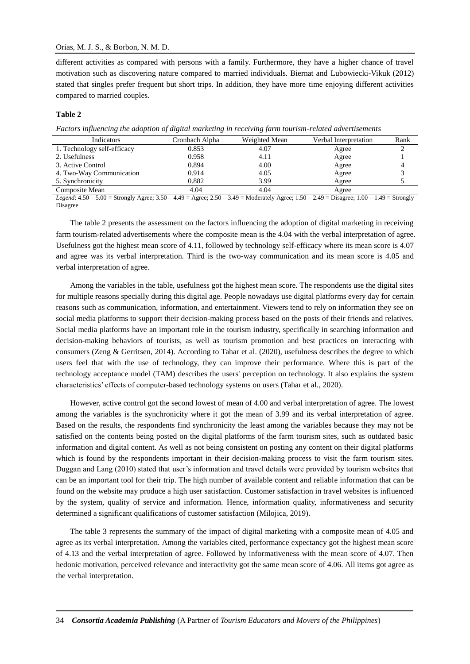# Orias, M. J. S., & Borbon, N. M. D.

different activities as compared with persons with a family. Furthermore, they have a higher chance of travel motivation such as discovering nature compared to married individuals. Biernat and Lubowiecki-Vikuk (2012) stated that singles prefer frequent but short trips. In addition, they have more time enjoying different activities compared to married couples.

# **Table 2**

|  |  |  | Factors influencing the adoption of digital marketing in receiving farm tourism-related advertisements |  |  |  |  |
|--|--|--|--------------------------------------------------------------------------------------------------------|--|--|--|--|
|  |  |  |                                                                                                        |  |  |  |  |
|  |  |  |                                                                                                        |  |  |  |  |
|  |  |  |                                                                                                        |  |  |  |  |

| Indicators                  | Cronbach Alpha | Weighted Mean | Verbal Interpretation | Rank |
|-----------------------------|----------------|---------------|-----------------------|------|
| 1. Technology self-efficacy | 0.853          | 4.07          | Agree                 |      |
| 2. Usefulness               | 0.958          | 4.11          | Agree                 |      |
| 3. Active Control           | 0.894          | 4.00          | Agree                 |      |
| 4. Two-Way Communication    | 0.914          | 4.05          | Agree                 |      |
| 5. Synchronicity            | 0.882          | 3.99          | Agree                 |      |
| Composite Mean              | 4.04           | 4.04          | Agree                 |      |

*Legend*: 4.50 – 5.00 = Strongly Agree; 3.50 – 4.49 = Agree; 2.50 – 3.49 = Moderately Agree; 1.50 – 2.49 = Disagree; 1.00 – 1.49 = Strongly Disagree

The table 2 presents the assessment on the factors influencing the adoption of digital marketing in receiving farm tourism-related advertisements where the composite mean is the 4.04 with the verbal interpretation of agree. Usefulness got the highest mean score of 4.11, followed by technology self-efficacy where its mean score is 4.07 and agree was its verbal interpretation. Third is the two-way communication and its mean score is 4.05 and verbal interpretation of agree.

Among the variables in the table, usefulness got the highest mean score. The respondents use the digital sites for multiple reasons specially during this digital age. People nowadays use digital platforms every day for certain reasons such as communication, information, and entertainment. Viewers tend to rely on information they see on social media platforms to support their decision-making process based on the posts of their friends and relatives. Social media platforms have an important role in the tourism industry, specifically in searching information and decision-making behaviors of tourists, as well as tourism promotion and best practices on interacting with consumers (Zeng & Gerritsen, 2014). According to Tahar et al. (2020), usefulness describes the degree to which users feel that with the use of technology, they can improve their performance. Where this is part of the technology acceptance model (TAM) describes the users' perception on technology. It also explains the system characteristics' effects of computer-based technology systems on users (Tahar et al., 2020).

However, active control got the second lowest of mean of 4.00 and verbal interpretation of agree. The lowest among the variables is the synchronicity where it got the mean of 3.99 and its verbal interpretation of agree. Based on the results, the respondents find synchronicity the least among the variables because they may not be satisfied on the contents being posted on the digital platforms of the farm tourism sites, such as outdated basic information and digital content. As well as not being consistent on posting any content on their digital platforms which is found by the respondents important in their decision-making process to visit the farm tourism sites. Duggan and Lang (2010) stated that user's information and travel details were provided by tourism websites that can be an important tool for their trip. The high number of available content and reliable information that can be found on the website may produce a high user satisfaction. Customer satisfaction in travel websites is influenced by the system, quality of service and information. Hence, information quality, informativeness and security determined a significant qualifications of customer satisfaction (Milojica, 2019).

The table 3 represents the summary of the impact of digital marketing with a composite mean of 4.05 and agree as its verbal interpretation. Among the variables cited, performance expectancy got the highest mean score of 4.13 and the verbal interpretation of agree. Followed by informativeness with the mean score of 4.07. Then hedonic motivation, perceived relevance and interactivity got the same mean score of 4.06. All items got agree as the verbal interpretation.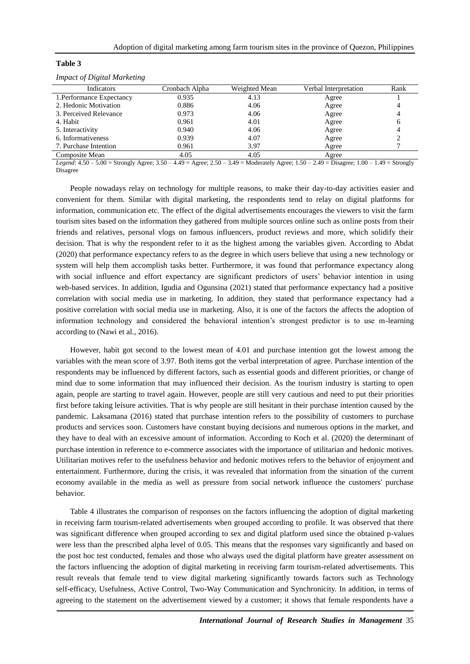| Indicators                | Cronbach Alpha | Weighted Mean | Verbal Interpretation | Rank |
|---------------------------|----------------|---------------|-----------------------|------|
| 1. Performance Expectancy | 0.935          | 4.13          | Agree                 |      |
| 2. Hedonic Motivation     | 0.886          | 4.06          | Agree                 |      |
| 3. Perceived Relevance    | 0.973          | 4.06          | Agree                 |      |
| 4. Habit                  | 0.961          | 4.01          | Agree                 |      |
| 5. Interactivity          | 0.940          | 4.06          | Agree                 |      |
| 6. Informativeness        | 0.939          | 4.07          | Agree                 |      |
| 7. Purchase Intention     | 0.961          | 3.97          | Agree                 |      |
| Composite Mean            | 4.05           | 4.05          | Agree                 |      |

## **Table 3**

*Impact of Digital Marketing*

*Legend*: 4.50 – 5.00 = Strongly Agree; 3.50 – 4.49 = Agree; 2.50 – 3.49 = Moderately Agree; 1.50 – 2.49 = Disagree; 1.00 – 1.49 = Strongly Disagree

People nowadays relay on technology for multiple reasons, to make their day-to-day activities easier and convenient for them. Similar with digital marketing, the respondents tend to relay on digital platforms for information, communication etc. The effect of the digital advertisements encourages the viewers to visit the farm tourism sites based on the information they gathered from multiple sources online such as online posts from their friends and relatives, personal vlogs on famous influencers, product reviews and more, which solidify their decision. That is why the respondent refer to it as the highest among the variables given. According to Abdat (2020) that performance expectancy refers to as the degree in which users believe that using a new technology or system will help them accomplish tasks better. Furthermore, it was found that performance expectancy along with social influence and effort expectancy are significant predictors of users' behavior intention in using web-based services. In addition, Igudia and Ogunsina (2021) stated that performance expectancy had a positive correlation with social media use in marketing. In addition, they stated that performance expectancy had a positive correlation with social media use in marketing. Also, it is one of the factors the affects the adoption of information technology and considered the behavioral intention's strongest predictor is to use m-learning according to (Nawi et al., 2016).

However, habit got second to the lowest mean of 4.01 and purchase intention got the lowest among the variables with the mean score of 3.97. Both items got the verbal interpretation of agree. Purchase intention of the respondents may be influenced by different factors, such as essential goods and different priorities, or change of mind due to some information that may influenced their decision. As the tourism industry is starting to open again, people are starting to travel again. However, people are still very cautious and need to put their priorities first before taking leisure activities. That is why people are still hesitant in their purchase intention caused by the pandemic. Laksamana (2016) stated that purchase intention refers to the possibility of customers to purchase products and services soon. Customers have constant buying decisions and numerous options in the market, and they have to deal with an excessive amount of information. According to Koch et al. (2020) the determinant of purchase intention in reference to e-commerce associates with the importance of utilitarian and hedonic motives. Utilitarian motives refer to the usefulness behavior and hedonic motives refers to the behavior of enjoyment and entertainment. Furthermore, during the crisis, it was revealed that information from the situation of the current economy available in the media as well as pressure from social network influence the customers' purchase behavior.

Table 4 illustrates the comparison of responses on the factors influencing the adoption of digital marketing in receiving farm tourism-related advertisements when grouped according to profile. It was observed that there was significant difference when grouped according to sex and digital platform used since the obtained p-values were less than the prescribed alpha level of 0.05. This means that the responses vary significantly and based on the post hoc test conducted, females and those who always used the digital platform have greater assessment on the factors influencing the adoption of digital marketing in receiving farm tourism-related advertisements. This result reveals that female tend to view digital marketing significantly towards factors such as Technology self-efficacy, Usefulness, Active Control, Two-Way Communication and Synchronicity. In addition, in terms of agreeing to the statement on the advertisement viewed by a customer; it shows that female respondents have a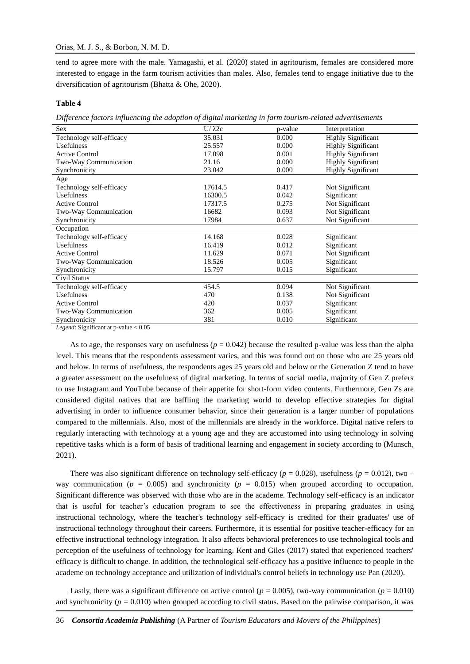tend to agree more with the male. Yamagashi, et al. (2020) stated in agritourism, females are considered more interested to engage in the farm tourism activities than males. Also, females tend to engage initiative due to the diversification of agritourism (Bhatta & Ohe, 2020).

## **Table 4**

*Difference factors influencing the adoption of digital marketing in farm tourism-related advertisements*

| <b>Sex</b>               | $U/\lambda 2c$ | p-value | Interpretation            |
|--------------------------|----------------|---------|---------------------------|
| Technology self-efficacy | 35.031         | 0.000   | <b>Highly Significant</b> |
| Usefulness               | 25.557         | 0.000   | <b>Highly Significant</b> |
| <b>Active Control</b>    | 17.098         | 0.001   | <b>Highly Significant</b> |
| Two-Way Communication    | 21.16          | 0.000   | <b>Highly Significant</b> |
| Synchronicity            | 23.042         | 0.000   | <b>Highly Significant</b> |
| Age                      |                |         |                           |
| Technology self-efficacy | 17614.5        | 0.417   | Not Significant           |
| <b>Usefulness</b>        | 16300.5        | 0.042   | Significant               |
| <b>Active Control</b>    | 17317.5        | 0.275   | Not Significant           |
| Two-Way Communication    | 16682          | 0.093   | Not Significant           |
| Synchronicity            | 17984          | 0.637   | Not Significant           |
| Occupation               |                |         |                           |
| Technology self-efficacy | 14.168         | 0.028   | Significant               |
| <b>Usefulness</b>        | 16.419         | 0.012   | Significant               |
| <b>Active Control</b>    | 11.629         | 0.071   | Not Significant           |
| Two-Way Communication    | 18.526         | 0.005   | Significant               |
| Synchronicity            | 15.797         | 0.015   | Significant               |
| Civil Status             |                |         |                           |
| Technology self-efficacy | 454.5          | 0.094   | Not Significant           |
| <b>Usefulness</b>        | 470            | 0.138   | Not Significant           |
| <b>Active Control</b>    | 420            | 0.037   | Significant               |
| Two-Way Communication    | 362            | 0.005   | Significant               |
| Synchronicity            | 381            | 0.010   | Significant               |
| $\sim$ $\sim$ $\sim$     |                |         |                           |

*Legend*: Significant at p-value < 0.05

As to age, the responses vary on usefulness  $(p = 0.042)$  because the resulted p-value was less than the alpha level. This means that the respondents assessment varies, and this was found out on those who are 25 years old and below. In terms of usefulness, the respondents ages 25 years old and below or the Generation Z tend to have a greater assessment on the usefulness of digital marketing. In terms of social media, majority of Gen Z prefers to use Instagram and YouTube because of their appetite for short-form video contents. Furthermore, Gen Zs are considered digital natives that are baffling the marketing world to develop effective strategies for digital advertising in order to influence consumer behavior, since their generation is a larger number of populations compared to the millennials. Also, most of the millennials are already in the workforce. Digital native refers to regularly interacting with technology at a young age and they are accustomed into using technology in solving repetitive tasks which is a form of basis of traditional learning and engagement in society according to (Munsch, 2021).

There was also significant difference on technology self-efficacy ( $p = 0.028$ ), usefulness ( $p = 0.012$ ), two – way communication ( $p = 0.005$ ) and synchronicity ( $p = 0.015$ ) when grouped according to occupation. Significant difference was observed with those who are in the academe. Technology self-efficacy is an indicator that is useful for teacher's education program to see the effectiveness in preparing graduates in using instructional technology, where the teacher's technology self-efficacy is credited for their graduates' use of instructional technology throughout their careers. Furthermore, it is essential for positive teacher-efficacy for an effective instructional technology integration. It also affects behavioral preferences to use technological tools and perception of the usefulness of technology for learning. Kent and Giles (2017) stated that experienced teachers' efficacy is difficult to change. In addition, the technological self-efficacy has a positive influence to people in the academe on technology acceptance and utilization of individual's control beliefs in technology use Pan (2020).

Lastly, there was a significant difference on active control ( $p = 0.005$ ), two-way communication ( $p = 0.010$ ) and synchronicity ( $p = 0.010$ ) when grouped according to civil status. Based on the pairwise comparison, it was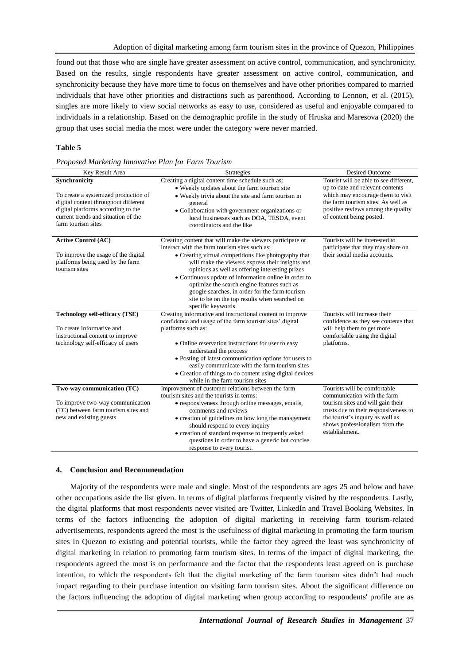found out that those who are single have greater assessment on active control, communication, and synchronicity. Based on the results, single respondents have greater assessment on active control, communication, and synchronicity because they have more time to focus on themselves and have other priorities compared to married individuals that have other priorities and distractions such as parenthood. According to Lennon, et al. (2015), singles are more likely to view social networks as easy to use, considered as useful and enjoyable compared to individuals in a relationship. Based on the demographic profile in the study of Hruska and Maresova (2020) the group that uses social media the most were under the category were never married.

## **Table 5**

|  | Proposed Marketing Innovative Plan for Farm Tourism |  |  |
|--|-----------------------------------------------------|--|--|

| Key Result Area                                                                                                                                                                                  | Strategies                                                                                                                                                                                                                                                                                                                                                                                                                                                                                                   | Desired Outcome                                                                                                                                                                                                                   |
|--------------------------------------------------------------------------------------------------------------------------------------------------------------------------------------------------|--------------------------------------------------------------------------------------------------------------------------------------------------------------------------------------------------------------------------------------------------------------------------------------------------------------------------------------------------------------------------------------------------------------------------------------------------------------------------------------------------------------|-----------------------------------------------------------------------------------------------------------------------------------------------------------------------------------------------------------------------------------|
| Synchronicity<br>To create a systemized production of<br>digital content throughout different<br>digital platforms according to the<br>current trends and situation of the<br>farm tourism sites | Creating a digital content time schedule such as:<br>• Weekly updates about the farm tourism site<br>• Weekly trivia about the site and farm tourism in<br>general<br>• Collaboration with government organizations or<br>local businesses such as DOA, TESDA, event<br>coordinators and the like                                                                                                                                                                                                            | Tourist will be able to see different,<br>up to date and relevant contents<br>which may encourage them to visit<br>the farm tourism sites. As well as<br>positive reviews among the quality<br>of content being posted.           |
| <b>Active Control (AC)</b><br>To improve the usage of the digital<br>platforms being used by the farm<br>tourism sites                                                                           | Creating content that will make the viewers participate or<br>interact with the farm tourism sites such as:<br>• Creating virtual competitions like photography that<br>will make the viewers express their insights and<br>opinions as well as offering interesting prizes<br>• Continuous update of information online in order to<br>optimize the search engine features such as<br>google searches, in order for the farm tourism<br>site to be on the top results when searched on<br>specific keywords | Tourists will be interested to<br>participate that they may share on<br>their social media accounts.                                                                                                                              |
| <b>Technology self-efficacy (TSE)</b><br>To create informative and<br>instructional content to improve<br>technology self-efficacy of users                                                      | Creating informative and instructional content to improve<br>confidence and usage of the farm tourism sites' digital<br>platforms such as:<br>• Online reservation instructions for user to easy<br>understand the process<br>• Posting of latest communication options for users to<br>easily communicate with the farm tourism sites<br>• Creation of things to do content using digital devices<br>while in the farm tourism sites                                                                        | Tourists will increase their<br>confidence as they see contents that<br>will help them to get more<br>comfortable using the digital<br>platforms.                                                                                 |
| Two-way communication (TC)<br>To improve two-way communication<br>(TC) between farm tourism sites and<br>new and existing guests                                                                 | Improvement of customer relations between the farm<br>tourism sites and the tourists in terms:<br>• responsiveness through online messages, emails,<br>comments and reviews<br>• creation of guidelines on how long the management<br>should respond to every inquiry<br>• creation of standard response to frequently asked<br>questions in order to have a generic but concise<br>response to every tourist.                                                                                               | Tourists will be comfortable<br>communication with the farm<br>tourism sites and will gain their<br>trusts due to their responsiveness to<br>the tourist's inquiry as well as<br>shows professionalism from the<br>establishment. |

# **4. Conclusion and Recommendation**

Majority of the respondents were male and single. Most of the respondents are ages 25 and below and have other occupations aside the list given. In terms of digital platforms frequently visited by the respondents. Lastly, the digital platforms that most respondents never visited are Twitter, LinkedIn and Travel Booking Websites. In terms of the factors influencing the adoption of digital marketing in receiving farm tourism-related advertisements, respondents agreed the most is the usefulness of digital marketing in promoting the farm tourism sites in Quezon to existing and potential tourists, while the factor they agreed the least was synchronicity of digital marketing in relation to promoting farm tourism sites. In terms of the impact of digital marketing, the respondents agreed the most is on performance and the factor that the respondents least agreed on is purchase intention, to which the respondents felt that the digital marketing of the farm tourism sites didn't had much impact regarding to their purchase intention on visiting farm tourism sites. About the significant difference on the factors influencing the adoption of digital marketing when group according to respondents' profile are as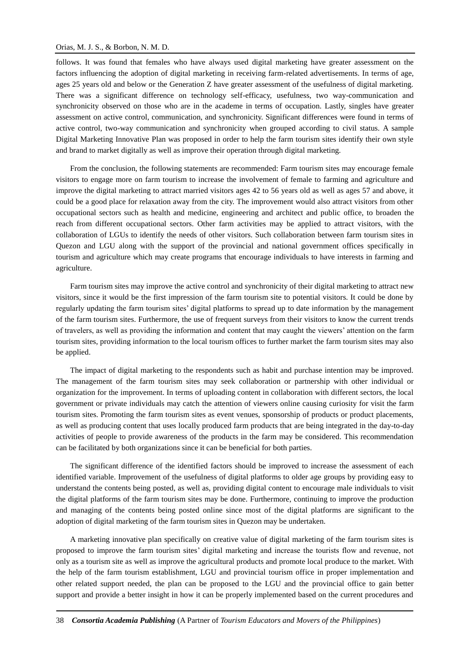# Orias, M. J. S., & Borbon, N. M. D.

follows. It was found that females who have always used digital marketing have greater assessment on the factors influencing the adoption of digital marketing in receiving farm-related advertisements. In terms of age, ages 25 years old and below or the Generation Z have greater assessment of the usefulness of digital marketing. There was a significant difference on technology self-efficacy, usefulness, two way-communication and synchronicity observed on those who are in the academe in terms of occupation. Lastly, singles have greater assessment on active control, communication, and synchronicity. Significant differences were found in terms of active control, two-way communication and synchronicity when grouped according to civil status. A sample Digital Marketing Innovative Plan was proposed in order to help the farm tourism sites identify their own style and brand to market digitally as well as improve their operation through digital marketing.

From the conclusion, the following statements are recommended: Farm tourism sites may encourage female visitors to engage more on farm tourism to increase the involvement of female to farming and agriculture and improve the digital marketing to attract married visitors ages 42 to 56 years old as well as ages 57 and above, it could be a good place for relaxation away from the city. The improvement would also attract visitors from other occupational sectors such as health and medicine, engineering and architect and public office, to broaden the reach from different occupational sectors. Other farm activities may be applied to attract visitors, with the collaboration of LGUs to identify the needs of other visitors. Such collaboration between farm tourism sites in Quezon and LGU along with the support of the provincial and national government offices specifically in tourism and agriculture which may create programs that encourage individuals to have interests in farming and agriculture.

Farm tourism sites may improve the active control and synchronicity of their digital marketing to attract new visitors, since it would be the first impression of the farm tourism site to potential visitors. It could be done by regularly updating the farm tourism sites' digital platforms to spread up to date information by the management of the farm tourism sites. Furthermore, the use of frequent surveys from their visitors to know the current trends of travelers, as well as providing the information and content that may caught the viewers' attention on the farm tourism sites, providing information to the local tourism offices to further market the farm tourism sites may also be applied.

The impact of digital marketing to the respondents such as habit and purchase intention may be improved. The management of the farm tourism sites may seek collaboration or partnership with other individual or organization for the improvement. In terms of uploading content in collaboration with different sectors, the local government or private individuals may catch the attention of viewers online causing curiosity for visit the farm tourism sites. Promoting the farm tourism sites as event venues, sponsorship of products or product placements, as well as producing content that uses locally produced farm products that are being integrated in the day-to-day activities of people to provide awareness of the products in the farm may be considered. This recommendation can be facilitated by both organizations since it can be beneficial for both parties.

The significant difference of the identified factors should be improved to increase the assessment of each identified variable. Improvement of the usefulness of digital platforms to older age groups by providing easy to understand the contents being posted, as well as, providing digital content to encourage male individuals to visit the digital platforms of the farm tourism sites may be done. Furthermore, continuing to improve the production and managing of the contents being posted online since most of the digital platforms are significant to the adoption of digital marketing of the farm tourism sites in Quezon may be undertaken.

A marketing innovative plan specifically on creative value of digital marketing of the farm tourism sites is proposed to improve the farm tourism sites' digital marketing and increase the tourists flow and revenue, not only as a tourism site as well as improve the agricultural products and promote local produce to the market. With the help of the farm tourism establishment, LGU and provincial tourism office in proper implementation and other related support needed, the plan can be proposed to the LGU and the provincial office to gain better support and provide a better insight in how it can be properly implemented based on the current procedures and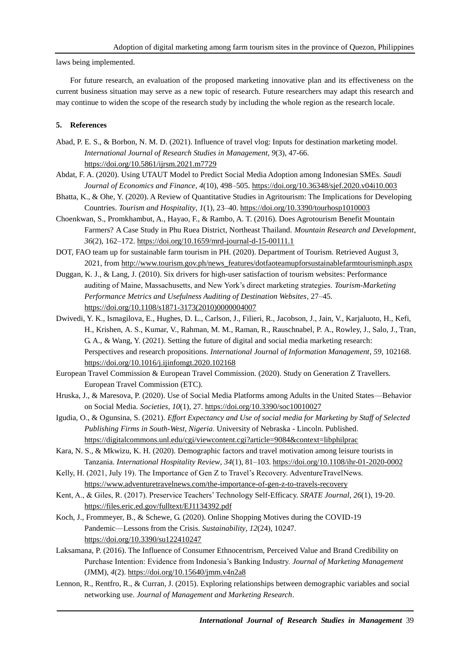laws being implemented.

For future research, an evaluation of the proposed marketing innovative plan and its effectiveness on the current business situation may serve as a new topic of research. Future researchers may adapt this research and may continue to widen the scope of the research study by including the whole region as the research locale.

# **5. References**

- Abad, P. E. S., & Borbon, N. M. D. (2021). Influence of travel vlog: Inputs for destination marketing model. *International Journal of Research Studies in Management*, *9*(3), 47-66. <https://doi.org/10.5861/ijrsm.2021.m7729>
- Abdat, F. A. (2020). Using UTAUT Model to Predict Social Media Adoption among Indonesian SMEs. *Saudi Journal of Economics and Finance*, *4*(10), 498–505.<https://doi.org/10.36348/sjef.2020.v04i10.003>
- Bhatta, K., & Ohe, Y. (2020). A Review of Quantitative Studies in Agritourism: The Implications for Developing Countries. *Tourism and Hospitality*, *1*(1), 23–40[. https://doi.org/10.3390/tourhosp1010003](https://doi.org/10.3390/tourhosp1010003)
- Choenkwan, S., Promkhambut, A., Hayao, F., & Rambo, A. T. (2016). Does Agrotourism Benefit Mountain Farmers? A Case Study in Phu Ruea District, Northeast Thailand. *Mountain Research and Development*, *36*(2), 162–172[. https://doi.org/10.1659/mrd-journal-d-15-00111.1](https://doi.org/10.1659/mrd-journal-d-15-00111.1)
- DOT, FAO team up for sustainable farm tourism in PH. (2020). Department of Tourism. Retrieved August 3, 2021, from [http://www.tourism.gov.ph/news\\_features/dotfaoteamupforsustainablefarmtourisminph.aspx](http://www.tourism.gov.ph/news_features/dotfaoteamupforsustainablefarmtourisminph.aspx)
- Duggan, K. J., & Lang, J. (2010). Six drivers for high-user satisfaction of tourism websites: Performance auditing of Maine, Massachusetts, and New York's direct marketing strategies. *Tourism-Marketing Performance Metrics and Usefulness Auditing of Destination Websites*, 27–45. [https://doi.org/10.1108/s1871-3173\(2010\)0000004007](https://doi.org/10.1108/s1871-3173(2010)0000004007)
- Dwivedi, Y. K., Ismagilova, E., Hughes, D. L., Carlson, J., Filieri, R., Jacobson, J., Jain, V., Karjaluoto, H., Kefi, H., Krishen, A. S., Kumar, V., Rahman, M. M., Raman, R., Rauschnabel, P. A., Rowley, J., Salo, J., Tran, G. A., & Wang, Y. (2021). Setting the future of digital and social media marketing research: Perspectives and research propositions. *International Journal of Information Management*, *59*, 102168. <https://doi.org/10.1016/j.ijinfomgt.2020.102168>
- European Travel Commission & European Travel Commission. (2020). Study on Generation Z Travellers. European Travel Commission (ETC).
- Hruska, J., & Maresova, P. (2020). Use of Social Media Platforms among Adults in the United States—Behavior on Social Media. *Societies*, *10*(1), 27[. https://doi.org/10.3390/soc10010027](https://doi.org/10.3390/soc10010027)
- Igudia, O., & Ogunsina, S. (2021). *Effort Expectancy and Use of social media for Marketing by Staff of Selected Publishing Firms in South-West, Nigeria*. University of Nebraska - Lincoln. Published. <https://digitalcommons.unl.edu/cgi/viewcontent.cgi?article=9084&context=libphilprac>
- Kara, N. S., & Mkwizu, K. H. (2020). Demographic factors and travel motivation among leisure tourists in Tanzania. *International Hospitality Review*, *34*(1), 81–103[. https://doi.org/10.1108/ihr-01-2020-0002](https://doi.org/10.1108/ihr-01-2020-0002)
- Kelly, H. (2021, July 19). The Importance of Gen Z to Travel's Recovery. AdventureTravelNews. <https://www.adventuretravelnews.com/the-importance-of-gen-z-to-travels-recovery>
- Kent, A., & Giles, R. (2017). Preservice Teachers' Technology Self-Efficacy. *SRATE Journal*, *26*(1), 19-20. <https://files.eric.ed.gov/fulltext/EJ1134392.pdf>
- Koch, J., Frommeyer, B., & Schewe, G. (2020). Online Shopping Motives during the COVID-19 Pandemic—Lessons from the Crisis. *Sustainability*, *12*(24), 10247. <https://doi.org/10.3390/su122410247>
- Laksamana, P. (2016). The Influence of Consumer Ethnocentrism, Perceived Value and Brand Credibility on Purchase Intention: Evidence from Indonesia's Banking Industry. *Journal of Marketing Management* (JMM), *4*(2).<https://doi.org/10.15640/jmm.v4n2a8>
- Lennon, R., Rentfro, R., & Curran, J. (2015). Exploring relationships between demographic variables and social networking use. *Journal of Management and Marketing Research*.